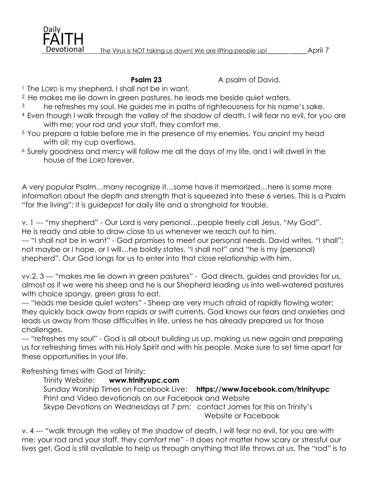Devotional The Virus is NOT taking us down! We are lifting people up! April 7



**Psalm 23** A psalm of David.

<sup>1</sup> The LORD is my shepherd, I shall not be in want.

- <sup>2</sup> He makes me lie down in green pastures, he leads me beside quiet waters,
- <sup>3</sup> he refreshes my soul. He guides me in paths of righteousness for his name's sake.
- <sup>4</sup> Even though I walk through the valley of the shadow of death, I will fear no evil, for you are with me; your rod and your staff, they comfort me.
- <sup>5</sup> You prepare a table before me in the presence of my enemies. You anoint my head with oil; my cup overflows.
- <sup>6</sup> Surely goodness and mercy will follow me all the days of my life, and I will dwell in the house of the LORD forever.

A very popular Psalm…many recognize it…some have it memorized…here is some more information about the depth and strength that is squeezed into these 6 verses. This is a Psalm "for the living"; it is guidepost for daily life and a stronghold for trouble.

v. 1 --- "my shepherd" - Our Lord is very personal…people freely call Jesus, "My God". He is ready and able to draw close to us whenever we reach out to him.

--- "I shall not be in want" - God promises to meet our personal needs. David writes, "I shall"; not maybe or I hope, or I will…he boldly states, "I shall not" and "he is my (personal) shepherd". Our God longs for us to enter into that close relationship with him.

vv.2, 3 --- "makes me lie down in green pastures" - God directs, guides and provides for us, almost as if we were his sheep and he is our Shepherd leading us into well-watered pastures with choice spongy, green grass to eat.

--- "leads me beside quiet waters" - Sheep are very much afraid of rapidly flowing water; they quickly back away from rapids or swift currents. God knows our fears and anxieties and leads us away from those difficulties in life, unless he has already prepared us for those challenges.

--- "refreshes my soul" - God is all about building us up, making us new again and preparing us for refreshing times with his Holy Spirit and with his people. Make sure to set time apart for these opportunities in your life.

Refreshing times with God at Trinity:

## Trinity Website: **www.trinityupc.com**

Sunday Worship Times on Facebook Live: **https://www.facebook.com/trinityupc** Print and Video devotionals on our Facebook and Website Skype Devotions on Wednesdays at 7 pm: contact James for this on Trinity's Website or Facebook

v. 4 --- "walk through the valley of the shadow of death, I will fear no evil, for you are with me; your rod and your staff, they comfort me" - It does not matter how scary or stressful our lives get, God is still available to help us through anything that life throws at us. The "rod" is to